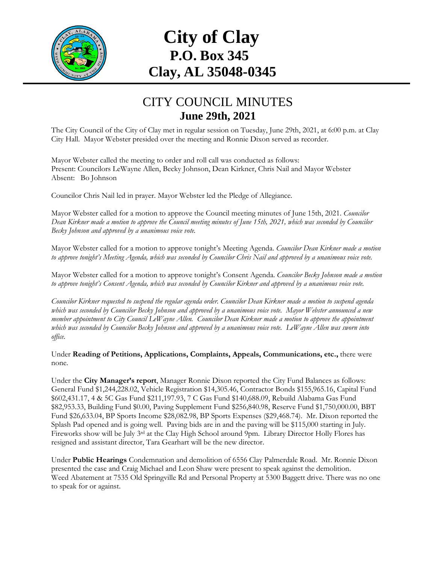

## **City of Clay P.O. Box 345 Clay, AL 35048-0345**

## CITY COUNCIL MINUTES **June 29th, 2021**

The City Council of the City of Clay met in regular session on Tuesday, June 29th, 2021, at 6:00 p.m. at Clay City Hall. Mayor Webster presided over the meeting and Ronnie Dixon served as recorder.

Mayor Webster called the meeting to order and roll call was conducted as follows: Present: Councilors LeWayne Allen, Becky Johnson, Dean Kirkner, Chris Nail and Mayor Webster Absent: Bo Johnson

Councilor Chris Nail led in prayer. Mayor Webster led the Pledge of Allegiance.

Mayor Webster called for a motion to approve the Council meeting minutes of June 15th, 2021. *Councilor Dean Kirkner made a motion to approve the Council meeting minutes of June 15th, 2021, which was seconded by Councilor Becky Johnson and approved by a unanimous voice vote.*

Mayor Webster called for a motion to approve tonight's Meeting Agenda. *Councilor Dean Kirkner made a motion to approve tonight's Meeting Agenda, which was seconded by Councilor Chris Nail and approved by a unanimous voice vote.*

Mayor Webster called for a motion to approve tonight's Consent Agenda. *Councilor Becky Johnson made a motion to approve tonight's Consent Agenda, which was seconded by Councilor Kirkner and approved by a unanimous voice vote.*

*Councilor Kirkner requested to suspend the regular agenda order. Councilor Dean Kirkner made a motion to suspend agenda which was seconded by Councilor Becky Johnson and approved by a unanimous voice vote. Mayor Webster announced a new member appointment to City Council LeWayne Allen. Councilor Dean Kirkner made a motion to approve the appointment which was seconded by Councilor Becky Johnson and approved by a unanimous voice vote. LeWayne Allen was sworn into office.*

Under **Reading of Petitions, Applications, Complaints, Appeals, Communications, etc.,** there were none*.*

Under the **City Manager's report**, Manager Ronnie Dixon reported the City Fund Balances as follows: General Fund \$1,244,228.02, Vehicle Registration \$14,305.46, Contractor Bonds \$155,965.16, Capital Fund \$602,431.17, 4 & 5C Gas Fund \$211,197.93, 7 C Gas Fund \$140,688.09, Rebuild Alabama Gas Fund \$82,953.33, Building Fund \$0.00, Paving Supplement Fund \$256,840.98, Reserve Fund \$1,750,000.00, BBT Fund \$26,633.04, BP Sports Income \$28,082.98, BP Sports Expenses (\$29,468.74). Mr. Dixon reported the Splash Pad opened and is going well. Paving bids are in and the paving will be \$115,000 starting in July. Fireworks show will be July 3<sup>rd</sup> at the Clay High School around 9pm. Library Director Holly Flores has resigned and assistant director, Tara Gearhart will be the new director.

Under **Public Hearings** Condemnation and demolition of 6556 Clay Palmerdale Road. Mr. Ronnie Dixon presented the case and Craig Michael and Leon Shaw were present to speak against the demolition. Weed Abatement at 7535 Old Springville Rd and Personal Property at 5300 Baggett drive. There was no one to speak for or against.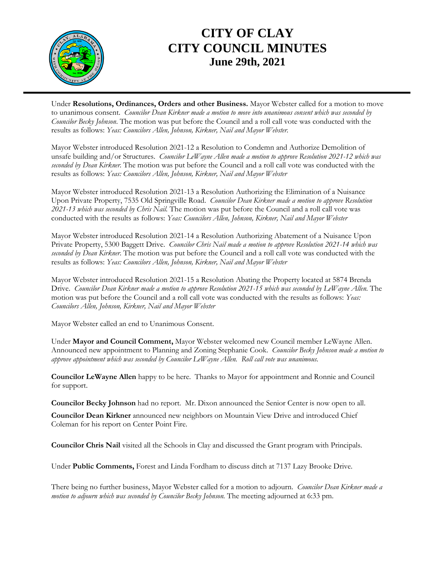

## **CITY OF CLAY CITY COUNCIL MINUTES June 29th, 2021**

Under **Resolutions, Ordinances, Orders and other Business.** Mayor Webster called for a motion to move to unanimous consent. *Councilor Dean Kirkner made a motion to move into unanimous consent which was seconded by Councilor Becky Johnson*. The motion was put before the Council and a roll call vote was conducted with the results as follows: *Yeas: Councilors Allen, Johnson, Kirkner, Nail and Mayor Webster.*

Mayor Webster introduced Resolution 2021-12 a Resolution to Condemn and Authorize Demolition of unsafe building and/or Structures. *Councilor LeWayne Allen made a motion to approve Resolution 2021-12 which was seconded by Dean Kirkner.* The motion was put before the Council and a roll call vote was conducted with the results as follows: *Yeas: Councilors Allen, Johnson, Kirkner, Nail and Mayor Webster*

Mayor Webster introduced Resolution 2021-13 a Resolution Authorizing the Elimination of a Nuisance Upon Private Property, 7535 Old Springville Road. *Councilor Dean Kirkner made a motion to approve Resolution 2021-13 which was seconded by Chris Nail.* The motion was put before the Council and a roll call vote was conducted with the results as follows: *Yeas: Councilors Allen, Johnson, Kirkner, Nail and Mayor Webster*

Mayor Webster introduced Resolution 2021-14 a Resolution Authorizing Abatement of a Nuisance Upon Private Property, 5300 Baggett Drive. *Councilor Chris Nail made a motion to approve Resolution 2021-14 which was seconded by Dean Kirkner.* The motion was put before the Council and a roll call vote was conducted with the results as follows: *Yeas: Councilors Allen, Johnson, Kirkner, Nail and Mayor Webster*

Mayor Webster introduced Resolution 2021-15 a Resolution Abating the Property located at 5874 Brenda Drive. *Councilor Dean Kirkner made a motion to approve Resolution 2021-15 which was seconded by LeWayne Allen.* The motion was put before the Council and a roll call vote was conducted with the results as follows: *Yeas: Councilors Allen, Johnson, Kirkner, Nail and Mayor Webster*

Mayor Webster called an end to Unanimous Consent.

Under **Mayor and Council Comment,** Mayor Webster welcomed new Council member LeWayne Allen. Announced new appointment to Planning and Zoning Stephanie Cook. *Councilor Becky Johnson made a motion to approve appointment which was seconded by Councilor LeWayne Allen. Roll call vote was unanimous.*

**Councilor LeWayne Allen** happy to be here. Thanks to Mayor for appointment and Ronnie and Council for support.

**Councilor Becky Johnson** had no report. Mr. Dixon announced the Senior Center is now open to all.

**Councilor Dean Kirkner** announced new neighbors on Mountain View Drive and introduced Chief Coleman for his report on Center Point Fire.

**Councilor Chris Nail** visited all the Schools in Clay and discussed the Grant program with Principals.

Under **Public Comments,** Forest and Linda Fordham to discuss ditch at 7137 Lazy Brooke Drive.

There being no further business, Mayor Webster called for a motion to adjourn*. Councilor Dean Kirkner made a motion to adjourn which was seconded by Councilor Becky Johnson.* The meeting adjourned at 6:33 pm.